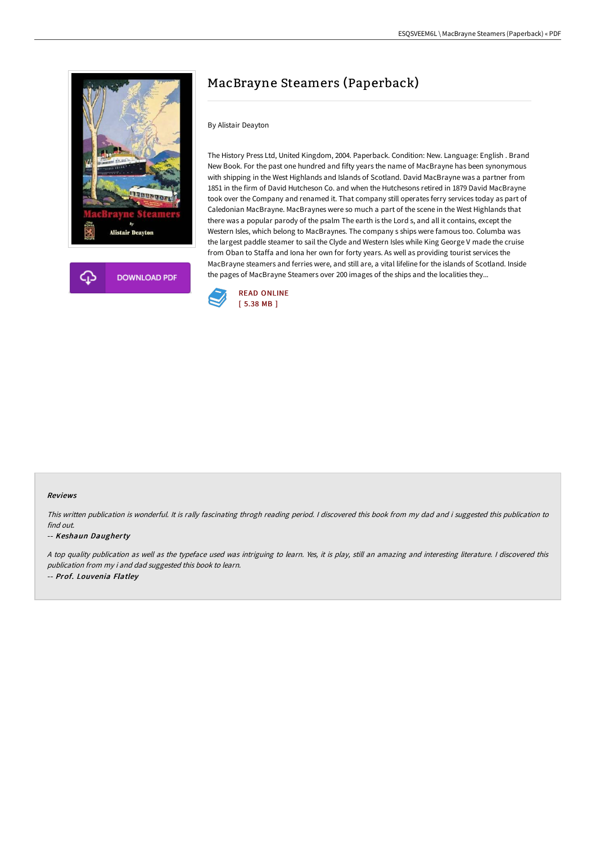

# MacBrayne Steamers (Paperback)

### By Alistair Deayton

The History Press Ltd, United Kingdom, 2004. Paperback. Condition: New. Language: English . Brand New Book. For the past one hundred and fifty years the name of MacBrayne has been synonymous with shipping in the West Highlands and Islands of Scotland. David MacBrayne was a partner from 1851 in the firm of David Hutcheson Co. and when the Hutchesons retired in 1879 David MacBrayne took over the Company and renamed it. That company still operates ferry services today as part of Caledonian MacBrayne. MacBraynes were so much a part of the scene in the West Highlands that there was a popular parody of the psalm The earth is the Lord s, and all it contains, except the Western Isles, which belong to MacBraynes. The company s ships were famous too. Columba was the largest paddle steamer to sail the Clyde and Western Isles while King George V made the cruise from Oban to Staffa and Iona her own for forty years. As well as providing tourist services the MacBrayne steamers and ferries were, and still are, a vital lifeline for the islands of Scotland. Inside the pages of MacBrayne Steamers over 200 images of the ships and the localities they...



#### Reviews

This written publication is wonderful. It is rally fascinating throgh reading period. <sup>I</sup> discovered this book from my dad and i suggested this publication to find out.

#### -- Keshaun Daugherty

<sup>A</sup> top quality publication as well as the typeface used was intriguing to learn. Yes, it is play, still an amazing and interesting literature. <sup>I</sup> discovered this publication from my i and dad suggested this book to learn. -- Prof. Louvenia Flatley